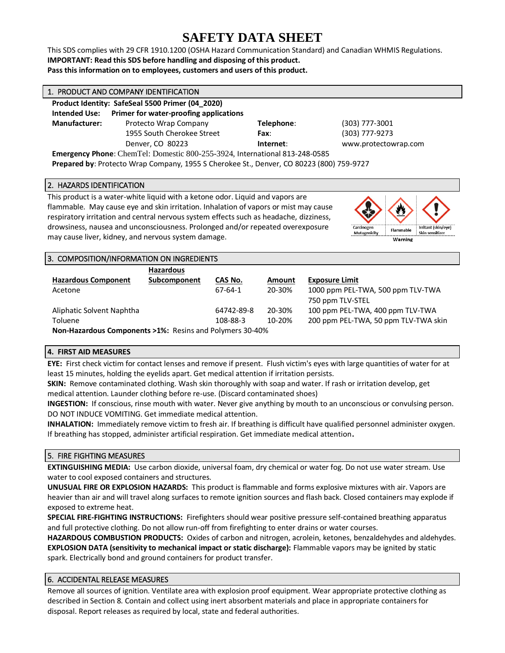# **SAFETY DATA SHEET**

This SDS complies with 29 CFR 1910.1200 (OSHA Hazard Communication Standard) and Canadian WHMIS Regulations. **IMPORTANT: Read this SDS before handling and disposing of this product. Pass this information on to employees, customers and users of this product.**

| 1. PRODUCT AND COMPANY IDENTIFICATION                                                    |                                        |            |                      |  |
|------------------------------------------------------------------------------------------|----------------------------------------|------------|----------------------|--|
| Product Identity: SafeSeal 5500 Primer (04_2020)                                         |                                        |            |                      |  |
| Intended Use:                                                                            | Primer for water-proofing applications |            |                      |  |
| <b>Manufacturer:</b>                                                                     | Protecto Wrap Company                  | Telephone: | (303) 777-3001       |  |
|                                                                                          | 1955 South Cherokee Street             | Fax:       | (303) 777-9273       |  |
|                                                                                          | Denver, CO 80223                       | Internet:  | www.protectowrap.com |  |
| Emergency Phone: ChemTel: Domestic 800-255-3924, International 813-248-0585              |                                        |            |                      |  |
| Prepared by: Protecto Wrap Company, 1955 S Cherokee St., Denver, CO 80223 (800) 759-9727 |                                        |            |                      |  |

# 2. HAZARDS IDENTIFICATION

This product is a water-white liquid with a ketone odor. Liquid and vapors are flammable. May cause eye and skin irritation. Inhalation of vapors or mist may cause respiratory irritation and central nervous system effects such as headache, dizziness, drowsiness, nausea and unconsciousness. Prolonged and/or repeated overexposure may cause liver, kidney, and nervous system damage.



| 3. COMPOSITION/INFORMATION ON INGREDIENTS                          |                  |            |            |                                      |
|--------------------------------------------------------------------|------------------|------------|------------|--------------------------------------|
|                                                                    | <b>Hazardous</b> |            |            |                                      |
| <b>Hazardous Component</b>                                         | Subcomponent     | CAS No.    | Amount     | <b>Exposure Limit</b>                |
| Acetone                                                            |                  | 67-64-1    | 20-30%     | 1000 ppm PEL-TWA, 500 ppm TLV-TWA    |
|                                                                    |                  |            |            | 750 ppm TLV-STEL                     |
| Aliphatic Solvent Naphtha                                          |                  | 64742-89-8 | 20-30%     | 100 ppm PEL-TWA, 400 ppm TLV-TWA     |
| Toluene                                                            |                  | 108-88-3   | $10 - 20%$ | 200 ppm PEL-TWA, 50 ppm TLV-TWA skin |
| <b>Non-Hazardous Components &gt;1%: Resins and Polymers 30-40%</b> |                  |            |            |                                      |

# **4. FIRST AID MEASURES**

**EYE:** First check victim for contact lenses and remove if present. Flush victim's eyes with large quantities of water for at least 15 minutes, holding the eyelids apart. Get medical attention if irritation persists.

**SKIN:** Remove contaminated clothing. Wash skin thoroughly with soap and water. If rash or irritation develop, get medical attention. Launder clothing before re-use. (Discard contaminated shoes)

**INGESTION:** If conscious, rinse mouth with water. Never give anything by mouth to an unconscious or convulsing person. DO NOT INDUCE VOMITING. Get immediate medical attention.

**INHALATION:** Immediately remove victim to fresh air. If breathing is difficult have qualified personnel administer oxygen. If breathing has stopped, administer artificial respiration. Get immediate medical attention**.**

# 5. FIRE FIGHTING MEASURES

**EXTINGUISHING MEDIA:** Use carbon dioxide, universal foam, dry chemical or water fog. Do not use water stream. Use water to cool exposed containers and structures.

**UNUSUAL FIRE OR EXPLOSION HAZARDS:** This product is flammable and forms explosive mixtures with air. Vapors are heavier than air and will travel along surfaces to remote ignition sources and flash back. Closed containers may explode if exposed to extreme heat.

**SPECIAL FIRE-FIGHTING INSTRUCTIONS:** Firefighters should wear positive pressure self-contained breathing apparatus and full protective clothing. Do not allow run-off from firefighting to enter drains or water courses.

**HAZARDOUS COMBUSTION PRODUCTS:** Oxides of carbon and nitrogen, acrolein, ketones, benzaldehydes and aldehydes. **EXPLOSION DATA (sensitivity to mechanical impact or static discharge):** Flammable vapors may be ignited by static spark. Electrically bond and ground containers for product transfer.

# 6. ACCIDENTAL RELEASE MEASURES

Remove all sources of ignition. Ventilate area with explosion proof equipment. Wear appropriate protective clothing as described in Section 8. Contain and collect using inert absorbent materials and place in appropriate containers for disposal. Report releases as required by local, state and federal authorities.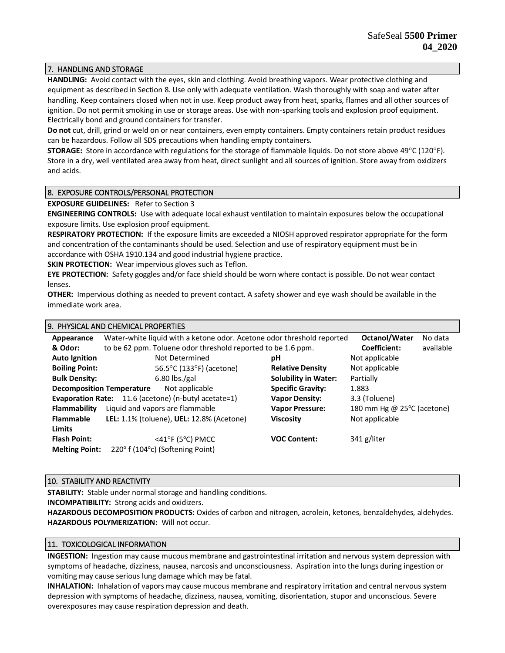# 7. HANDLING AND STORAGE

**HANDLING:** Avoid contact with the eyes, skin and clothing. Avoid breathing vapors. Wear protective clothing and equipment as described in Section 8. Use only with adequate ventilation. Wash thoroughly with soap and water after handling. Keep containers closed when not in use. Keep product away from heat, sparks, flames and all other sources of ignition. Do not permit smoking in use or storage areas. Use with non-sparking tools and explosion proof equipment. Electrically bond and ground containers for transfer.

**Do not** cut, drill, grind or weld on or near containers, even empty containers. Empty containers retain product residues can be hazardous. Follow all SDS precautions when handling empty containers.

**STORAGE:** Store in accordance with regulations for the storage of flammable liquids. Do not store above 49°C (120°F). Store in a dry, well ventilated area away from heat, direct sunlight and all sources of ignition. Store away from oxidizers and acids.

# 8. EXPOSURE CONTROLS/PERSONAL PROTECTION

**EXPOSURE GUIDELINES:** Refer to Section 3

**ENGINEERING CONTROLS:** Use with adequate local exhaust ventilation to maintain exposures below the occupational exposure limits. Use explosion proof equipment.

**RESPIRATORY PROTECTION:** If the exposure limits are exceeded a NIOSH approved respirator appropriate for the form and concentration of the contaminants should be used. Selection and use of respiratory equipment must be in accordance with OSHA 1910.134 and good industrial hygiene practice.

**SKIN PROTECTION:** Wear impervious gloves such as Teflon.

**EYE PROTECTION:** Safety goggles and/or face shield should be worn where contact is possible. Do not wear contact lenses.

**OTHER:** Impervious clothing as needed to prevent contact. A safety shower and eye wash should be available in the immediate work area.

#### 9. PHYSICAL AND CHEMICAL PROPERTIES

| Appearance                                                     | Water-white liquid with a ketone odor. Acetone odor threshold reported |                             | Octanol/Water<br>No data             |
|----------------------------------------------------------------|------------------------------------------------------------------------|-----------------------------|--------------------------------------|
| & Odor:                                                        | to be 62 ppm. Toluene odor threshold reported to be 1.6 ppm.           |                             | Coefficient:<br>available            |
| <b>Auto Ignition</b>                                           | Not Determined                                                         | рH                          | Not applicable                       |
| <b>Boiling Point:</b>                                          | 56.5°C (133°F) (acetone)                                               | <b>Relative Density</b>     | Not applicable                       |
| <b>Bulk Density:</b>                                           | $6.80$ lbs./gal                                                        | <b>Solubility in Water:</b> | Partially                            |
| <b>Decomposition Temperature</b>                               | Not applicable                                                         | <b>Specific Gravity:</b>    | 1.883                                |
| 11.6 (acetone) (n-butyl acetate=1)<br><b>Evaporation Rate:</b> |                                                                        | <b>Vapor Density:</b>       | 3.3 (Toluene)                        |
| Flammability                                                   | Liquid and vapors are flammable                                        | <b>Vapor Pressure:</b>      | 180 mm Hg @ 25 $\degree$ C (acetone) |
| <b>Flammable</b>                                               | LEL: 1.1% (toluene), UEL: 12.8% (Acetone)                              | <b>Viscosity</b>            | Not applicable                       |
| <b>Limits</b>                                                  |                                                                        |                             |                                      |
| <b>Flash Point:</b>                                            | $<$ 41°F (5°C) PMCC                                                    | <b>VOC Content:</b>         | 341 g/liter                          |
| <b>Melting Point:</b>                                          | 220 $\textdegree$ f (104 $\textdegree$ c) (Softening Point)            |                             |                                      |

#### 10. STABILITY AND REACTIVITY

**STABILITY:** Stable under normal storage and handling conditions.

**INCOMPATIBILITY:** Strong acids and oxidizers.

**HAZARDOUS DECOMPOSITION PRODUCTS:** Oxides of carbon and nitrogen, acrolein, ketones, benzaldehydes, aldehydes. **HAZARDOUS POLYMERIZATION:** Will not occur.

#### 11. TOXICOLOGICAL INFORMATION

**INGESTION:** Ingestion may cause mucous membrane and gastrointestinal irritation and nervous system depression with symptoms of headache, dizziness, nausea, narcosis and unconsciousness. Aspiration into the lungs during ingestion or vomiting may cause serious lung damage which may be fatal.

**INHALATION:** Inhalation of vapors may cause mucous membrane and respiratory irritation and central nervous system depression with symptoms of headache, dizziness, nausea, vomiting, disorientation, stupor and unconscious. Severe overexposures may cause respiration depression and death.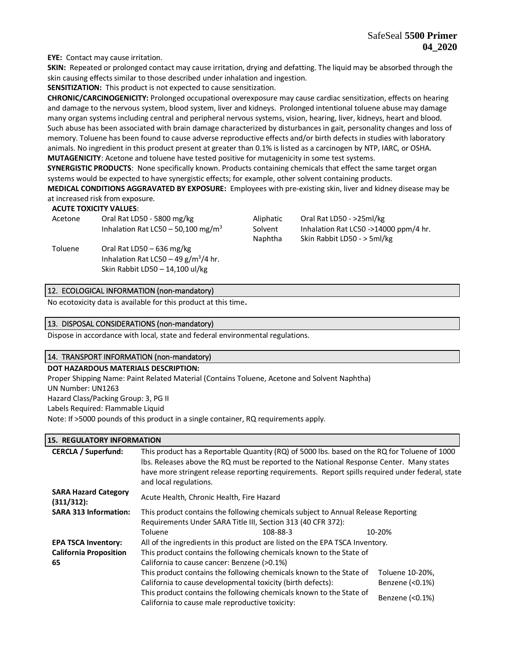**EYE:** Contact may cause irritation.

**SKIN:** Repeated or prolonged contact may cause irritation, drying and defatting. The liquid may be absorbed through the skin causing effects similar to those described under inhalation and ingestion.

**SENSITIZATION:** This product is not expected to cause sensitization.

**CHRONIC/CARCINOGENICITY:** Prolonged occupational overexposure may cause cardiac sensitization, effects on hearing and damage to the nervous system, blood system, liver and kidneys. Prolonged intentional toluene abuse may damage many organ systems including central and peripheral nervous systems, vision, hearing, liver, kidneys, heart and blood. Such abuse has been associated with brain damage characterized by disturbances in gait, personality changes and loss of memory. Toluene has been found to cause adverse reproductive effects and/or birth defects in studies with laboratory animals. No ingredient in this product present at greater than 0.1% is listed as a carcinogen by NTP, IARC, or OSHA. **MUTAGENICITY**: Acetone and toluene have tested positive for mutagenicity in some test systems.

**SYNERGISTIC PRODUCTS**: None specifically known. Products containing chemicals that effect the same target organ systems would be expected to have synergistic effects; for example, other solvent containing products.

**MEDICAL CONDITIONS AGGRAVATED BY EXPOSURE:** Employees with pre-existing skin, liver and kidney disease may be at increased risk from exposure.

#### **ACUTE TOXICITY VALUES**:

| Acetone | Oral Rat LD50 - 5800 mg/kg<br>Inhalation Rat LC50 - 50,100 mg/m <sup>3</sup>                              | Aliphatic<br>Solvent<br>Naphtha | Oral Rat LD50 - >25ml/kg<br>Inhalation Rat LC50 ->14000 ppm/4 hr.<br>Skin Rabbit LD50 - > 5ml/kg |
|---------|-----------------------------------------------------------------------------------------------------------|---------------------------------|--------------------------------------------------------------------------------------------------|
| Toluene | Oral Rat LD50 $-636$ mg/kg<br>Inhalation Rat LC50 - 49 $g/m^3/4$ hr.<br>Skin Rabbit LD50 $-$ 14,100 ul/kg |                                 |                                                                                                  |

# 12. ECOLOGICAL INFORMATION (non-mandatory)

No ecotoxicity data is available for this product at this time**.**

#### 13. DISPOSAL CONSIDERATIONS (non-mandatory)

Dispose in accordance with local, state and federal environmental regulations.

#### 14. TRANSPORT INFORMATION (non-mandatory)

#### **DOT HAZARDOUS MATERIALS DESCRIPTION:**

Proper Shipping Name: Paint Related Material (Contains Toluene, Acetone and Solvent Naphtha) UN Number: UN1263 Hazard Class/Packing Group: 3, PG II Labels Required: Flammable Liquid Note: If >5000 pounds of this product in a single container, RQ requirements apply.

# **15. REGULATORY INFORMATION**

| <b>CERCLA / Superfund:</b>                | This product has a Reportable Quantity (RQ) of 5000 lbs. based on the RQ for Toluene of 1000<br>Ibs. Releases above the RQ must be reported to the National Response Center. Many states<br>have more stringent release reporting requirements. Report spills required under federal, state<br>and local regulations. |                   |  |
|-------------------------------------------|-----------------------------------------------------------------------------------------------------------------------------------------------------------------------------------------------------------------------------------------------------------------------------------------------------------------------|-------------------|--|
| <b>SARA Hazard Category</b><br>(311/312): | Acute Health, Chronic Health, Fire Hazard                                                                                                                                                                                                                                                                             |                   |  |
| <b>SARA 313 Information:</b>              | This product contains the following chemicals subject to Annual Release Reporting                                                                                                                                                                                                                                     |                   |  |
|                                           | Requirements Under SARA Title III, Section 313 (40 CFR 372):                                                                                                                                                                                                                                                          |                   |  |
|                                           | Toluene<br>108-88-3                                                                                                                                                                                                                                                                                                   | 10-20%            |  |
| <b>EPA TSCA Inventory:</b>                | All of the ingredients in this product are listed on the EPA TSCA Inventory.                                                                                                                                                                                                                                          |                   |  |
| <b>California Proposition</b>             | This product contains the following chemicals known to the State of                                                                                                                                                                                                                                                   |                   |  |
| 65                                        | California to cause cancer: Benzene (>0.1%)                                                                                                                                                                                                                                                                           |                   |  |
|                                           | This product contains the following chemicals known to the State of                                                                                                                                                                                                                                                   | Toluene 10-20%,   |  |
|                                           | California to cause developmental toxicity (birth defects):                                                                                                                                                                                                                                                           | Benzene $(0.1\%)$ |  |
|                                           | This product contains the following chemicals known to the State of<br>California to cause male reproductive toxicity:                                                                                                                                                                                                | Benzene $(0.1\%)$ |  |